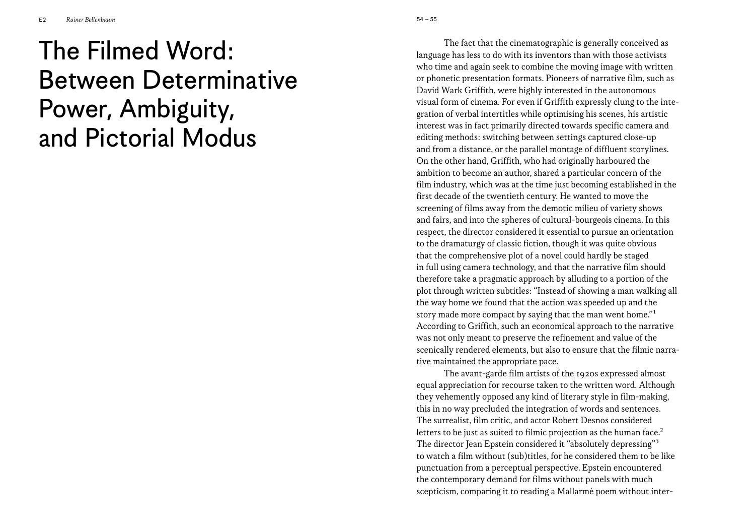## The Filmed Word: Between Determinative Power, Ambiguity, and Pictorial Modus

The fact that the cinematographic is generally conceived as language has less to do with its inventors than with those activists who time and again seek to combine the moving image with written or phonetic presentation formats. Pioneers of narrative film, such as David Wark Griffith, were highly interested in the autonomous visual form of cinema. For even if Griffith expressly clung to the integration of verbal intertitles while optimising his scenes, his artistic interest was in fact primarily directed towards specific camera and editing methods: switching between settings captured close-up and from a distance, or the parallel montage of diffluent storylines. On the other hand, Griffith, who had originally harboured the ambition to become an author, shared a particular concern of the film industry, which was at the time just becoming established in the first decade of the twentieth century. He wanted to move the screening of films away from the demotic milieu of variety shows and fairs, and into the spheres of cultural-bourgeois cinema. In this respect, the director considered it essential to pursue an orientation to the dramaturgy of classic fiction, though it was quite obvious that the comprehensive plot of a novel could hardly be staged in full using camera technology, and that the narrative film should therefore take a pragmatic approach by alluding to a portion of the plot through written subtitles: "Instead of showing a man walking all the way home we found that the action was speeded up and the story made more compact by saying that the man went home."1 According to Griffith, such an economical approach to the narrative was not only meant to preserve the refinement and value of the scenically rendered elements, but also to ensure that the filmic narrative maintained the appropriate pace.

The avant-garde film artists of the 1920s expressed almost equal appreciation for recourse taken to the written word. Although they vehemently opposed any kind of literary style in film-making, this in no way precluded the integration of words and sentences. The surrealist, film critic, and actor Robert Desnos considered letters to be just as suited to filmic projection as the human face.<sup>2</sup> The director Jean Epstein considered it "absolutely depressing"<sup>3</sup> to watch a film without (sub)titles, for he considered them to be like punctuation from a perceptual perspective. Epstein encountered the contemporary demand for films without panels with much scepticism, comparing it to reading a Mallarmé poem without inter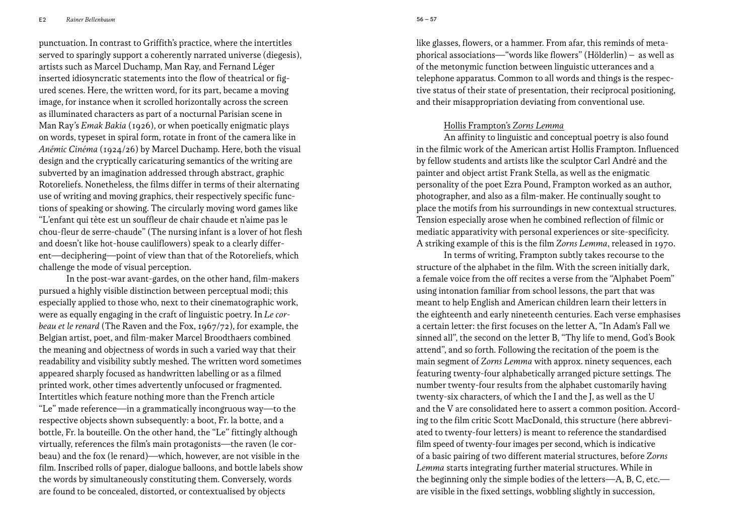E2 *Rainer Bellenbaum*

punctuation. In contrast to Griffith's practice, where the intertitles served to sparingly support a coherently narrated universe (diegesis), artists such as Marcel Duchamp, Man Ray, and Fernand Léger inserted idiosyncratic statements into the flow of theatrical or figured scenes. Here, the written word, for its part, became a moving image, for instance when it scrolled horizontally across the screen as illuminated characters as part of a nocturnal Parisian scene in Man Ray's *Emak Bakia* (1926), or when poetically enigmatic plays on words, typeset in spiral form, rotate in front of the camera like in *Anémic Cinéma* (1924/26) by Marcel Duchamp. Here, both the visual design and the cryptically caricaturing semantics of the writing are subverted by an imagination addressed through abstract, graphic Rotoreliefs. Nonetheless, the films differ in terms of their alternating use of writing and moving graphics, their respectively specific functions of speaking or showing. The circularly moving word games like "L'enfant qui tète est un souffleur de chair chaude et n'aime pas le chou-fleur de serre-chaude" (The nursing infant is a lover of hot flesh and doesn't like hot-house cauliflowers) speak to a clearly different—deciphering—point of view than that of the Rotoreliefs, which challenge the mode of visual perception.

In the post-war avant-gardes, on the other hand, film-makers pursued a highly visible distinction between perceptual modi; this especially applied to those who, next to their cinematographic work, were as equally engaging in the craft of linguistic poetry. In *Le corbeau et le renard* (The Raven and the Fox, 1967/72), for example, the Belgian artist, poet, and film-maker Marcel Broodthaers combined the meaning and objectness of words in such a varied way that their readability and visibility subtly meshed. The written word sometimes appeared sharply focused as handwritten labelling or as a filmed printed work, other times advertently unfocused or fragmented. Intertitles which feature nothing more than the French article "Le" made reference—in a grammatically incongruous way—to the respective objects shown subsequently: a boot, Fr. la botte, and a bottle, Fr. la bouteille. On the other hand, the "Le" fittingly although virtually, references the film's main protagonists—the raven (le corbeau) and the fox (le renard)—which, however, are not visible in the film. Inscribed rolls of paper, dialogue balloons, and bottle labels show the words by simultaneously constituting them. Conversely, words are found to be concealed, distorted, or contextualised by objects

like glasses, flowers, or a hammer. From afar, this reminds of metaphorical associations—"words like flowers" (Hölderlin) – as well as of the metonymic function between linguistic utterances and a telephone apparatus. Common to all words and things is the respective status of their state of presentation, their reciprocal positioning, and their misappropriation deviating from conventional use.

## Hollis Frampton's *Zorns Lemma*

An affinity to linguistic and conceptual poetry is also found in the filmic work of the American artist Hollis Frampton. Influenced by fellow students and artists like the sculptor Carl André and the painter and object artist Frank Stella, as well as the enigmatic personality of the poet Ezra Pound, Frampton worked as an author, photographer, and also as a film-maker. He continually sought to place the motifs from his surroundings in new contextual structures. Tension especially arose when he combined reflection of filmic or mediatic apparativity with personal experiences or site-specificity. A striking example of this is the film *Zorns Lemma*, released in 1970.

In terms of writing, Frampton subtly takes recourse to the structure of the alphabet in the film. With the screen initially dark, a female voice from the off recites a verse from the "Alphabet Poem" using intonation familiar from school lessons, the part that was meant to help English and American children learn their letters in the eighteenth and early nineteenth centuries. Each verse emphasises a certain letter: the first focuses on the letter A, "In Adam's Fall we sinned all", the second on the letter B, "Thy life to mend, God's Book attend", and so forth. Following the recitation of the poem is the main segment of *Zorns Lemma* with approx. ninety sequences, each featuring twenty-four alphabetically arranged picture settings. The number twenty-four results from the alphabet customarily having twenty-six characters, of which the I and the J, as well as the U and the V are consolidated here to assert a common position. According to the film critic Scott MacDonald, this structure (here abbreviated to twenty-four letters) is meant to reference the standardised film speed of twenty-four images per second, which is indicative of a basic pairing of two different material structures, before *Zorns Lemma* starts integrating further material structures. While in the beginning only the simple bodies of the letters—A, B, C, etc. are visible in the fixed settings, wobbling slightly in succession,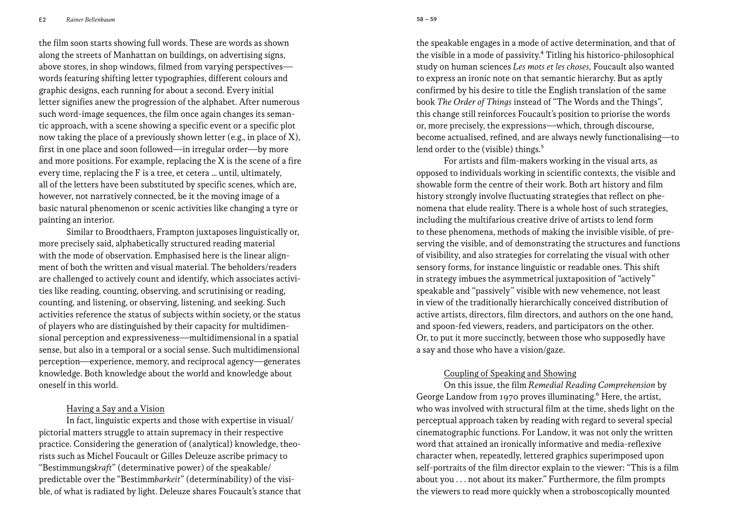E2 *Rainer Bellenbaum* 59 –8 59

the film soon starts showing full words. These are words as shown along the streets of Manhattan on buildings, on advertising signs, above stores, in shop windows, filmed from varying perspectives words featuring shifting letter typographies, different colours and graphic designs, each running for about a second. Every initial letter signifies anew the progression of the alphabet. After numerous such word-image sequences, the film once again changes its semantic approach, with a scene showing a specific event or a specific plot now taking the place of a previously shown letter (e.g., in place of X), first in one place and soon followed—in irregular order—by more and more positions. For example, replacing the X is the scene of a fire every time, replacing the F is a tree, et cetera … until, ultimately, all of the letters have been substituted by specific scenes, which are, however, not narratively connected, be it the moving image of a basic natural phenomenon or scenic activities like changing a tyre or painting an interior.

Similar to Broodthaers, Frampton juxtaposes linguistically or, more precisely said, alphabetically structured reading material with the mode of observation. Emphasised here is the linear alignment of both the written and visual material. The beholders/readers are challenged to actively count and identify, which associates activities like reading, counting, observing, and scrutinising or reading, counting, and listening, or observing, listening, and seeking. Such activities reference the status of subjects within society, or the status of players who are distinguished by their capacity for multidimensional perception and expressiveness—multidimensional in a spatial sense, but also in a temporal or a social sense. Such multidimensional perception—experience, memory, and reciprocal agency—generates knowledge. Both knowledge about the world and knowledge about oneself in this world.

## Having a Say and a Vision

In fact, linguistic experts and those with expertise in visual/ pictorial matters struggle to attain supremacy in their respective practice. Considering the generation of (analytical) knowledge, theorists such as Michel Foucault or Gilles Deleuze ascribe primacy to "Bestimmungs*kraft*" (determinative power) of the speakable/ predictable over the "Bestimm*barkeit*" (determinability) of the visible, of what is radiated by light. Deleuze shares Foucault's stance that the speakable engages in a mode of active determination, and that of the visible in a mode of passivity.4 Titling his historico-philosophical study on human sciences *Les mots et les choses,* Foucault also wanted to express an ironic note on that semantic hierarchy. But as aptly confirmed by his desire to title the English translation of the same book *The Order of Things* instead of "The Words and the Things", this change still reinforces Foucault's position to priorise the words or, more precisely, the expressions—which, through discourse, become actualised, refined, and are always newly functionalising—to lend order to the (visible) things.<sup>5</sup>

For artists and film-makers working in the visual arts, as opposed to individuals working in scientific contexts, the visible and showable form the centre of their work. Both art history and film history strongly involve fluctuating strategies that reflect on phenomena that elude reality. There is a whole host of such strategies, including the multifarious creative drive of artists to lend form to these phenomena, methods of making the invisible visible, of preserving the visible, and of demonstrating the structures and functions of visibility, and also strategies for correlating the visual with other sensory forms, for instance linguistic or readable ones. This shift in strategy imbues the asymmetrical juxtaposition of "actively" speakable and "passively" visible with new vehemence, not least in view of the traditionally hierarchically conceived distribution of active artists, directors, film directors, and authors on the one hand, and spoon-fed viewers, readers, and participators on the other. Or, to put it more succinctly, between those who supposedly have a say and those who have a vision/gaze.

## Coupling of Speaking and Showing

On this issue, the film *Remedial Reading Comprehension* by George Landow from 1970 proves illuminating.<sup>6</sup> Here, the artist, who was involved with structural film at the time, sheds light on the perceptual approach taken by reading with regard to several special cinematographic functions. For Landow, it was not only the written word that attained an ironically informative and media-reflexive character when, repeatedly, lettered graphics superimposed upon self-portraits of the film director explain to the viewer: "This is a film about you . . . not about its maker." Furthermore, the film prompts the viewers to read more quickly when a stroboscopically mounted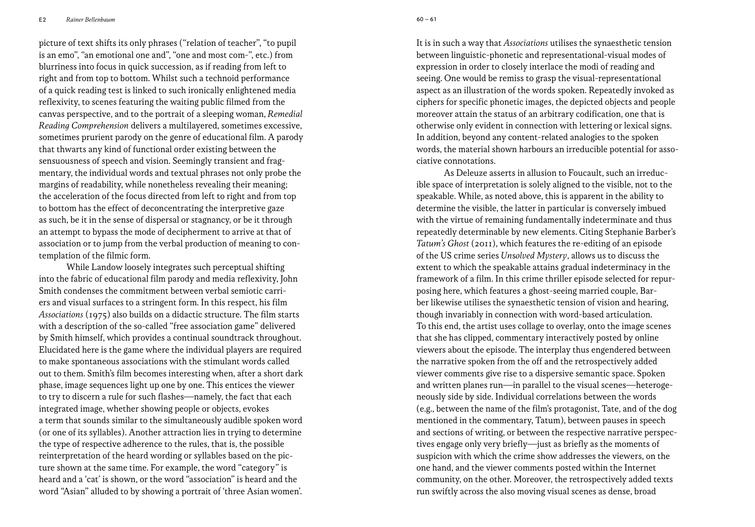E2 *Rainer Bellenbaum* 61 –0 61

picture of text shifts its only phrases ("relation of teacher", "to pupil is an emo", "an emotional one and", "one and most com-", etc.) from blurriness into focus in quick succession, as if reading from left to right and from top to bottom. Whilst such a technoid performance of a quick reading test is linked to such ironically enlightened media reflexivity, to scenes featuring the waiting public filmed from the canvas perspective, and to the portrait of a sleeping woman, *Remedial Reading Comprehension* delivers a multilayered, sometimes excessive, sometimes prurient parody on the genre of educational film. A parody that thwarts any kind of functional order existing between the sensuousness of speech and vision. Seemingly transient and fragmentary, the individual words and textual phrases not only probe the margins of readability, while nonetheless revealing their meaning; the acceleration of the focus directed from left to right and from top to bottom has the effect of deconcentrating the interpretive gaze as such, be it in the sense of dispersal or stagnancy, or be it through an attempt to bypass the mode of decipherment to arrive at that of association or to jump from the verbal production of meaning to contemplation of the filmic form.

While Landow loosely integrates such perceptual shifting into the fabric of educational film parody and media reflexivity, John Smith condenses the commitment between verbal semiotic carriers and visual surfaces to a stringent form. In this respect, his film *Associations* (1975) also builds on a didactic structure. The film starts with a description of the so-called "free association game" delivered by Smith himself, which provides a continual soundtrack throughout. Elucidated here is the game where the individual players are required to make spontaneous associations with the stimulant words called out to them. Smith's film becomes interesting when, after a short dark phase, image sequences light up one by one. This entices the viewer to try to discern a rule for such flashes—namely, the fact that each integrated image, whether showing people or objects, evokes a term that sounds similar to the simultaneously audible spoken word (or one of its syllables). Another attraction lies in trying to determine the type of respective adherence to the rules, that is, the possible reinterpretation of the heard wording or syllables based on the picture shown at the same time. For example, the word "category" is heard and a 'cat' is shown, or the word "association" is heard and the word "Asian" alluded to by showing a portrait of 'three Asian women'.

It is in such a way that *Associations* utilises the synaesthetic tension between linguistic-phonetic and representational-visual modes of expression in order to closely interlace the modi of reading and seeing. One would be remiss to grasp the visual-representational aspect as an illustration of the words spoken. Repeatedly invoked as ciphers for specific phonetic images, the depicted objects and people moreover attain the status of an arbitrary codification, one that is otherwise only evident in connection with lettering or lexical signs. In addition, beyond any content-related analogies to the spoken words, the material shown harbours an irreducible potential for associative connotations.

As Deleuze asserts in allusion to Foucault, such an irreducible space of interpretation is solely aligned to the visible, not to the speakable. While, as noted above, this is apparent in the ability to determine the visible, the latter in particular is conversely imbued with the virtue of remaining fundamentally indeterminate and thus repeatedly determinable by new elements. Citing Stephanie Barber's *Tatum's Ghost* (2011), which features the re-editing of an episode of the US crime series *Un*s*olved Mystery*, allows us to discuss the extent to which the speakable attains gradual indeterminacy in the framework of a film. In this crime thriller episode selected for repurposing here, which features a ghost-seeing married couple, Barber likewise utilises the synaesthetic tension of vision and hearing, though invariably in connection with word-based articulation. To this end, the artist uses collage to overlay, onto the image scenes that she has clipped, commentary interactively posted by online viewers about the episode. The interplay thus engendered between the narrative spoken from the off and the retrospectively added viewer comments give rise to a dispersive semantic space. Spoken and written planes run—in parallel to the visual scenes—heterogeneously side by side. Individual correlations between the words (e.g., between the name of the film's protagonist, Tate, and of the dog mentioned in the commentary, Tatum), between pauses in speech and sections of writing, or between the respective narrative perspectives engage only very briefly—just as briefly as the moments of suspicion with which the crime show addresses the viewers, on the one hand, and the viewer comments posted within the Internet community, on the other. Moreover, the retrospectively added texts run swiftly across the also moving visual scenes as dense, broad